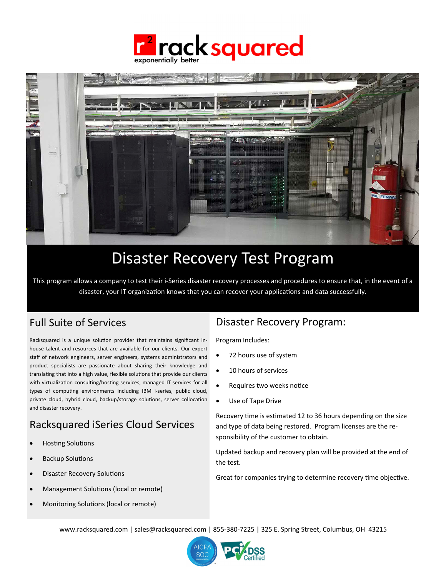



# Disaster Recovery Test Program

This program allows a company to test their i‐Series disaster recovery processes and procedures to ensure that, in the event of a disaster, your IT organization knows that you can recover your applications and data successfully.

## Full Suite of Services

Racksquared is a unique solution provider that maintains significant inhouse talent and resources that are available for our clients. Our expert staff of network engineers, server engineers, systems administrators and product specialists are passionate about sharing their knowledge and translating that into a high value, flexible solutions that provide our clients with virtualization consulting/hosting services, managed IT services for all types of computing environments including IBM i-series, public cloud, private cloud, hybrid cloud, backup/storage solutions, server collocation and disaster recovery.

## Racksquared iSeries Cloud Services

- Hosting Solutions
- Backup Solutions
- Disaster Recovery Solutions
- Management Solutions (local or remote)
- Monitoring Solutions (local or remote)

## Disaster Recovery Program:

Program Includes:

- 72 hours use of system
- 10 hours of services
- Requires two weeks notice
- Use of Tape Drive

Recovery time is estimated 12 to 36 hours depending on the size and type of data being restored. Program licenses are the re‐ sponsibility of the customer to obtain.

Updated backup and recovery plan will be provided at the end of the test.

Great for companies trying to determine recovery time objective.

www.racksquared.com | sales@racksquared.com | 855‐380‐7225 | 325 E. Spring Street, Columbus, OH 43215